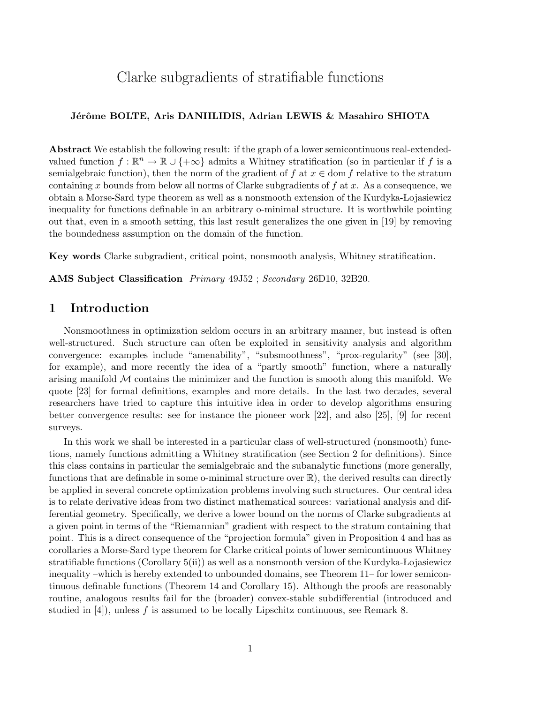# Clarke subgradients of stratifiable functions

#### Jérôme BOLTE, Aris DANIILIDIS, Adrian LEWIS & Masahiro SHIOTA

Abstract We establish the following result: if the graph of a lower semicontinuous real-extendedvalued function  $f : \mathbb{R}^n \to \mathbb{R} \cup \{+\infty\}$  admits a Whitney stratification (so in particular if f is a semialgebraic function), then the norm of the gradient of f at  $x \in \text{dom } f$  relative to the stratum containing x bounds from below all norms of Clarke subgradients of  $f$  at  $x$ . As a consequence, we obtain a Morse-Sard type theorem as well as a nonsmooth extension of the Kurdyka-Lojasiewicz inequality for functions definable in an arbitrary o-minimal structure. It is worthwhile pointing out that, even in a smooth setting, this last result generalizes the one given in [19] by removing the boundedness assumption on the domain of the function.

Key words Clarke subgradient, critical point, nonsmooth analysis, Whitney stratification.

AMS Subject Classification Primary 49J52 ; Secondary 26D10, 32B20.

# 1 Introduction

Nonsmoothness in optimization seldom occurs in an arbitrary manner, but instead is often well-structured. Such structure can often be exploited in sensitivity analysis and algorithm convergence: examples include "amenability", "subsmoothness", "prox-regularity" (see [30], for example), and more recently the idea of a "partly smooth" function, where a naturally arising manifold  $\mathcal M$  contains the minimizer and the function is smooth along this manifold. We quote [23] for formal definitions, examples and more details. In the last two decades, several researchers have tried to capture this intuitive idea in order to develop algorithms ensuring better convergence results: see for instance the pioneer work [22], and also [25], [9] for recent surveys.

In this work we shall be interested in a particular class of well-structured (nonsmooth) functions, namely functions admitting a Whitney stratification (see Section 2 for definitions). Since this class contains in particular the semialgebraic and the subanalytic functions (more generally, functions that are definable in some o-minimal structure over R), the derived results can directly be applied in several concrete optimization problems involving such structures. Our central idea is to relate derivative ideas from two distinct mathematical sources: variational analysis and differential geometry. Specifically, we derive a lower bound on the norms of Clarke subgradients at a given point in terms of the "Riemannian" gradient with respect to the stratum containing that point. This is a direct consequence of the "projection formula" given in Proposition 4 and has as corollaries a Morse-Sard type theorem for Clarke critical points of lower semicontinuous Whitney stratifiable functions (Corollary  $5(ii)$ ) as well as a nonsmooth version of the Kurdyka-Lojasiewicz inequality –which is hereby extended to unbounded domains, see Theorem 11– for lower semicontinuous definable functions (Theorem 14 and Corollary 15). Although the proofs are reasonably routine, analogous results fail for the (broader) convex-stable subdifferential (introduced and studied in  $[4]$ , unless f is assumed to be locally Lipschitz continuous, see Remark 8.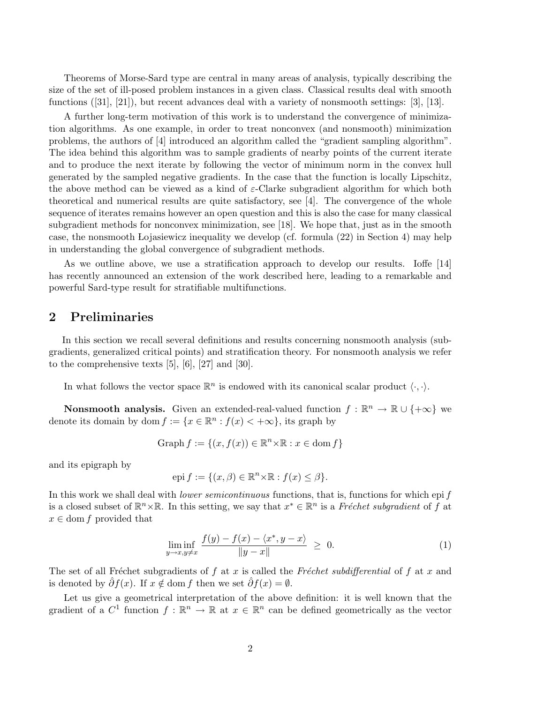Theorems of Morse-Sard type are central in many areas of analysis, typically describing the size of the set of ill-posed problem instances in a given class. Classical results deal with smooth functions ([31], [21]), but recent advances deal with a variety of nonsmooth settings: [3], [13].

A further long-term motivation of this work is to understand the convergence of minimization algorithms. As one example, in order to treat nonconvex (and nonsmooth) minimization problems, the authors of [4] introduced an algorithm called the "gradient sampling algorithm". The idea behind this algorithm was to sample gradients of nearby points of the current iterate and to produce the next iterate by following the vector of minimum norm in the convex hull generated by the sampled negative gradients. In the case that the function is locally Lipschitz, the above method can be viewed as a kind of  $\varepsilon$ -Clarke subgradient algorithm for which both theoretical and numerical results are quite satisfactory, see [4]. The convergence of the whole sequence of iterates remains however an open question and this is also the case for many classical subgradient methods for nonconvex minimization, see [18]. We hope that, just as in the smooth case, the nonsmooth Lojasiewicz inequality we develop (cf. formula (22) in Section 4) may help in understanding the global convergence of subgradient methods.

As we outline above, we use a stratification approach to develop our results. Ioffe [14] has recently announced an extension of the work described here, leading to a remarkable and powerful Sard-type result for stratifiable multifunctions.

### 2 Preliminaries

In this section we recall several definitions and results concerning nonsmooth analysis (subgradients, generalized critical points) and stratification theory. For nonsmooth analysis we refer to the comprehensive texts [5], [6], [27] and [30].

In what follows the vector space  $\mathbb{R}^n$  is endowed with its canonical scalar product  $\langle \cdot, \cdot \rangle$ .

**Nonsmooth analysis.** Given an extended-real-valued function  $f : \mathbb{R}^n \to \mathbb{R} \cup \{+\infty\}$  we denote its domain by dom  $f := \{x \in \mathbb{R}^n : f(x) < +\infty\}$ , its graph by

Graph 
$$
f := \{(x, f(x)) \in \mathbb{R}^n \times \mathbb{R} : x \in \text{dom } f\}
$$

and its epigraph by

$$
epi f := \{ (x, \beta) \in \mathbb{R}^n \times \mathbb{R} : f(x) \le \beta \}.
$$

In this work we shall deal with *lower semicontinuous* functions, that is, functions for which epi f is a closed subset of  $\mathbb{R}^n \times \mathbb{R}$ . In this setting, we say that  $x^* \in \mathbb{R}^n$  is a Fréchet subgradient of f at  $x \in$  dom f provided that

$$
\liminf_{y \to x, y \neq x} \frac{f(y) - f(x) - \langle x^*, y - x \rangle}{\|y - x\|} \ge 0.
$$
 (1)

The set of all Fréchet subgradients of f at x is called the Fréchet subdifferential of f at x and is denoted by  $\partial f(x)$ . If  $x \notin \text{dom } f$  then we set  $\partial f(x) = \emptyset$ .

Let us give a geometrical interpretation of the above definition: it is well known that the gradient of a  $C^1$  function  $f: \mathbb{R}^n \to \mathbb{R}$  at  $x \in \mathbb{R}^n$  can be defined geometrically as the vector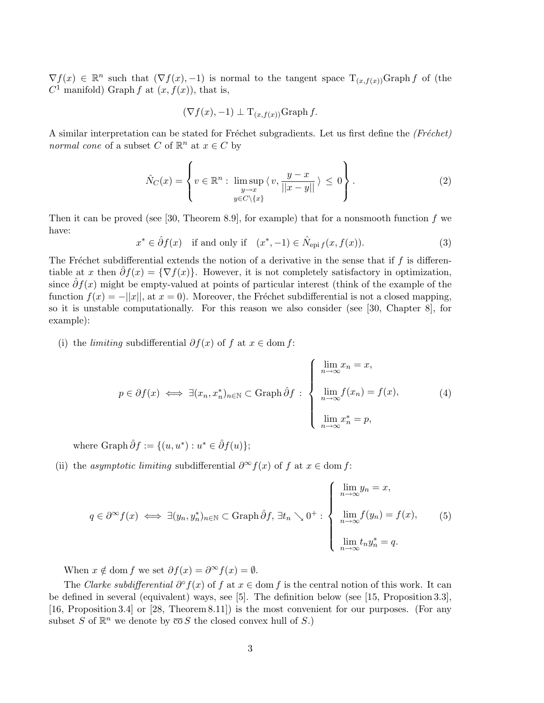$\nabla f(x) \in \mathbb{R}^n$  such that  $(\nabla f(x), -1)$  is normal to the tangent space  $T_{(x,f(x))}$ Graph f of (the  $C^1$  manifold) Graph f at  $(x, f(x))$ , that is,

$$
(\nabla f(x), -1) \perp \mathcal{T}_{(x, f(x))}
$$
Graph f.

A similar interpretation can be stated for Fréchet subgradients. Let us first define the (Fréchet) normal cone of a subset C of  $\mathbb{R}^n$  at  $x \in C$  by

$$
\hat{N}_C(x) = \left\{ v \in \mathbb{R}^n : \limsup_{\substack{y \to x \\ y \in C \setminus \{x\}}} \langle v, \frac{y - x}{||x - y||} \rangle \le 0 \right\}.
$$
\n(2)

Then it can be proved (see [30, Theorem 8.9], for example) that for a nonsmooth function  $f$  we have:

$$
x^* \in \hat{\partial}f(x) \quad \text{if and only if} \quad (x^*, -1) \in \hat{N}_{\text{epi }f}(x, f(x)).\tag{3}
$$

The Fréchet subdifferential extends the notion of a derivative in the sense that if  $f$  is differentiable at x then  $\partial f(x) = \{ \nabla f(x) \}.$  However, it is not completely satisfactory in optimization, since  $\partial f(x)$  might be empty-valued at points of particular interest (think of the example of the function  $f(x) = -||x||$ , at  $x = 0$ ). Moreover, the Fréchet subdifferential is not a closed mapping, so it is unstable computationally. For this reason we also consider (see [30, Chapter 8], for example):

(i) the *limiting* subdifferential  $\partial f(x)$  of f at  $x \in \text{dom } f$ :

$$
p \in \partial f(x) \iff \exists (x_n, x_n^*)_n \in \mathbb{N} \subset \text{Graph } \hat{\partial} f : \begin{cases} \lim_{n \to \infty} x_n = x, \\ \lim_{n \to \infty} f(x_n) = f(x), \\ \lim_{n \to \infty} x_n^* = p, \end{cases} (4)
$$

where Graph  $\hat{\partial}f := \{(u, u^*) : u^* \in \hat{\partial}f(u)\};\$ 

(ii) the asymptotic limiting subdifferential  $\partial^{\infty} f(x)$  of f at  $x \in \text{dom } f$ :

$$
q \in \partial^{\infty} f(x) \iff \exists (y_n, y_n^*)_{n \in \mathbb{N}} \subset \text{Graph } \hat{\partial} f, \exists t_n \searrow 0^+ : \begin{cases} \lim_{n \to \infty} y_n = x, \\ \lim_{n \to \infty} f(y_n) = f(x), \\ \lim_{n \to \infty} t_n y_n^* = q. \end{cases}
$$
(5)

When  $x \notin \text{dom } f$  we set  $\partial f(x) = \partial^{\infty} f(x) = \emptyset$ .

The Clarke subdifferential  $\partial^{\circ} f(x)$  of f at  $x \in \text{dom } f$  is the central notion of this work. It can be defined in several (equivalent) ways, see [5]. The definition below (see [15, Proposition 3.3], [16, Proposition 3.4] or [28, Theorem 8.11]) is the most convenient for our purposes. (For any subset S of  $\mathbb{R}^n$  we denote by  $\overline{\text{co}} S$  the closed convex hull of S.)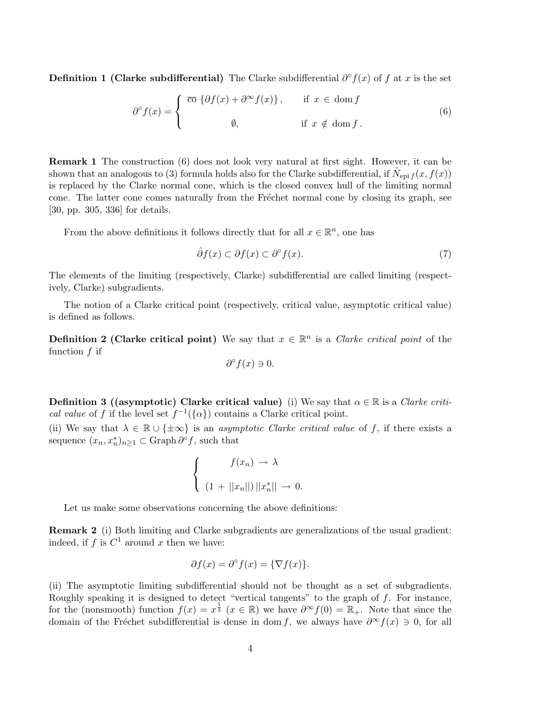**Definition 1 (Clarke subdifferential)** The Clarke subdifferential  $\partial^{\circ} f(x)$  of f at x is the set

$$
\partial^{\circ} f(x) = \begin{cases} \overline{\text{co}} \left\{ \partial f(x) + \partial^{\infty} f(x) \right\}, & \text{if } x \in \text{dom } f \\ \emptyset, & \text{if } x \notin \text{dom } f. \end{cases}
$$
 (6)

Remark 1 The construction (6) does not look very natural at first sight. However, it can be shown that an analogous to (3) formula holds also for the Clarke subdifferential, if  $\hat{N}_{epi f}(x, f(x))$ is replaced by the Clarke normal cone, which is the closed convex hull of the limiting normal cone. The latter cone comes naturally from the Fréchet normal cone by closing its graph, see [30, pp. 305, 336] for details.

From the above definitions it follows directly that for all  $x \in \mathbb{R}^n$ , one has

$$
\hat{\partial}f(x) \subset \partial f(x) \subset \partial^{\circ}f(x). \tag{7}
$$

The elements of the limiting (respectively, Clarke) subdifferential are called limiting (respectively, Clarke) subgradients.

The notion of a Clarke critical point (respectively, critical value, asymptotic critical value) is defined as follows.

**Definition 2 (Clarke critical point)** We say that  $x \in \mathbb{R}^n$  is a *Clarke critical point* of the function  $f$  if

$$
\partial^{\circ} f(x) \ni 0.
$$

**Definition 3 ((asymptotic) Clarke critical value)** (i) We say that  $\alpha \in \mathbb{R}$  is a *Clarke criti*cal value of f if the level set  $f^{-1}(\{\alpha\})$  contains a Clarke critical point.

(ii) We say that  $\lambda \in \mathbb{R} \cup \{\pm \infty\}$  is an *asymptotic Clarke critical value* of f, if there exists a sequence  $(x_n, x_n^*)_{n \geq 1} \subset \text{Graph } \partial^{\circ} f$ , such that

$$
\begin{cases}\nf(x_n) \to \lambda \\
(1 + ||x_n||) ||x_n^*|| \to 0.\n\end{cases}
$$

Let us make some observations concerning the above definitions:

Remark 2 (i) Both limiting and Clarke subgradients are generalizations of the usual gradient: indeed, if  $f$  is  $C^1$  around  $x$  then we have:

$$
\partial f(x) = \partial^{\circ} f(x) = \{ \nabla f(x) \}.
$$

(ii) The asymptotic limiting subdifferential should not be thought as a set of subgradients. Roughly speaking it is designed to detect "vertical tangents" to the graph of  $f$ . For instance, for the (nonsmooth) function  $f(x) = x^{\frac{1}{3}}$   $(x \in \mathbb{R})$  we have  $\partial^{\infty} f(0) = \mathbb{R}_{+}$ . Note that since the domain of the Fréchet subdifferential is dense in dom f, we always have  $\partial^{\infty} f(x) \ni 0$ , for all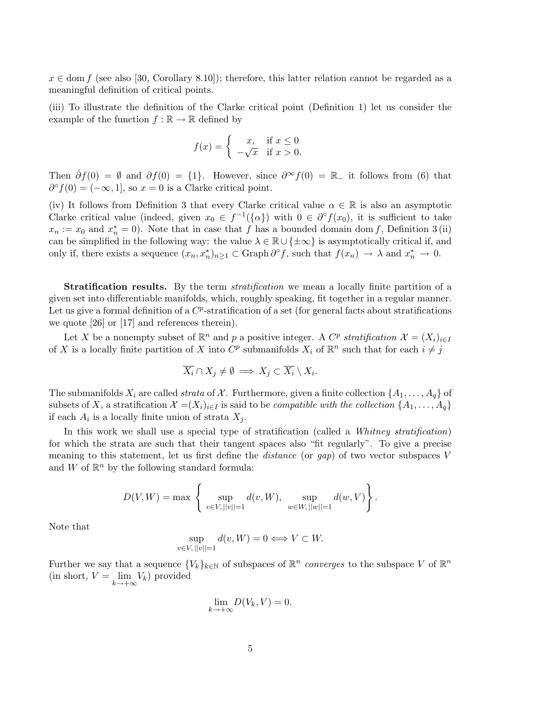$x \in \text{dom } f$  (see also [30, Corollary 8.10]); therefore, this latter relation cannot be regarded as a meaningful definition of critical points.

(iii) To illustrate the definition of the Clarke critical point (Definition 1) let us consider the example of the function  $f : \mathbb{R} \to \mathbb{R}$  defined by

$$
f(x) = \begin{cases} x, & \text{if } x \le 0\\ -\sqrt{x} & \text{if } x > 0. \end{cases}
$$

Then  $\hat{\partial}f(0) = \emptyset$  and  $\partial f(0) = \{1\}$ . However, since  $\partial^{\infty}f(0) = \mathbb{R}$  it follows from (6) that  $\partial^{\circ} f(0) = (-\infty, 1],$  so  $x = 0$  is a Clarke critical point.

(iv) It follows from Definition 3 that every Clarke critical value  $\alpha \in \mathbb{R}$  is also an asymptotic Clarke critical value (indeed, given  $x_0 \in f^{-1}(\{\alpha\})$  with  $0 \in \partial^{\circ} f(x_0)$ , it is sufficient to take  $x_n := x_0$  and  $x_n^* = 0$ ). Note that in case that f has a bounded domain dom f, Definition 3(ii) can be simplified in the following way: the value  $\lambda \in \mathbb{R} \cup {\{\pm \infty\}}$  is asymptotically critical if, and only if, there exists a sequence  $(x_n, x_n^*)_{n \geq 1} \subset \text{Graph } \partial^{\circ} f$ , such that  $f(x_n) \to \lambda$  and  $x_n^* \to 0$ .

**Stratification results.** By the term *stratification* we mean a locally finite partition of a given set into differentiable manifolds, which, roughly speaking, fit together in a regular manner. Let us give a formal definition of a  $C^p$ -stratification of a set (for general facts about stratifications we quote [26] or [17] and references therein).

Let X be a nonempty subset of  $\mathbb{R}^n$  and p a positive integer. A  $C^p$  stratification  $\mathcal{X} = (X_i)_{i \in I}$ of X is a locally finite partition of X into  $C^p$  submanifolds  $X_i$  of  $\mathbb{R}^n$  such that for each  $i \neq j$ 

$$
\overline{X_i} \cap X_j \neq \emptyset \implies X_j \subset \overline{X_i} \setminus X_i.
$$

The submanifolds  $X_i$  are called strata of X. Furthermore, given a finite collection  $\{A_1, \ldots, A_q\}$  of subsets of X, a stratification  $\mathcal{X} = (X_i)_{i \in I}$  is said to be *compatible with the collection*  $\{A_1, \ldots, A_q\}$ if each  $A_i$  is a locally finite union of strata  $X_j$ .

In this work we shall use a special type of stratification (called a Whitney stratification) for which the strata are such that their tangent spaces also "fit regularly". To give a precise meaning to this statement, let us first define the *distance* (or  $gap$ ) of two vector subspaces  $V$ and W of  $\mathbb{R}^n$  by the following standard formula:

$$
D(V, W) = \max \left\{ \sup_{v \in V, ||v|| = 1} d(v, W), \sup_{w \in W, ||w|| = 1} d(w, V) \right\}.
$$

Note that

$$
\sup_{v \in V, ||v|| = 1} d(v, W) = 0 \Longleftrightarrow V \subset W.
$$

Further we say that a sequence  $\{V_k\}_{k\in\mathbb{N}}$  of subspaces of  $\mathbb{R}^n$  converges to the subspace V of  $\mathbb{R}^n$ (in short,  $V = \lim_{k \to +\infty} V_k$ ) provided

$$
\lim_{k \to +\infty} D(V_k, V) = 0.
$$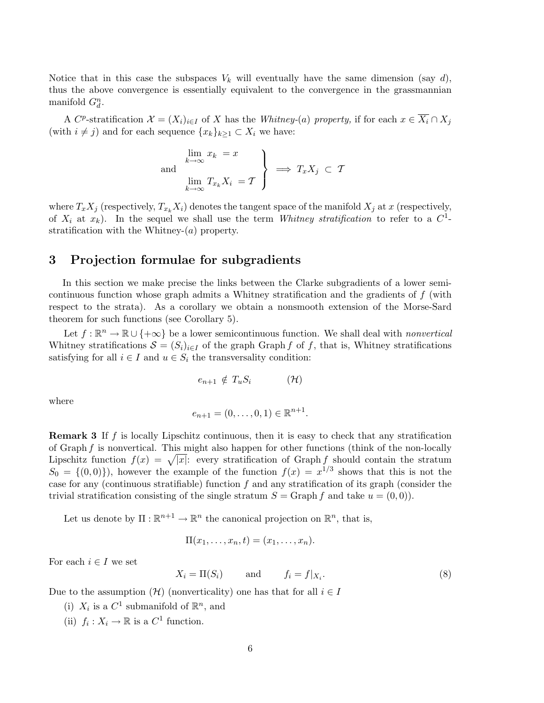Notice that in this case the subspaces  $V_k$  will eventually have the same dimension (say d), thus the above convergence is essentially equivalent to the convergence in the grassmannian manifold  $G_d^n$ .

A C<sup>p</sup>-stratification  $\mathcal{X} = (X_i)_{i \in I}$  of X has the Whitney-(a) property, if for each  $x \in \overline{X_i} \cap X_j$ (with  $i \neq j$ ) and for each sequence  $\{x_k\}_{k>1} \subset X_i$  we have:

and 
$$
\begin{cases} \lim_{k \to \infty} x_k = x \\ \lim_{k \to \infty} T_{x_k} X_i = \mathcal{T} \end{cases} \implies T_x X_j \subset \mathcal{T}
$$

where  $T_xX_j$  (respectively,  $T_{x_k}X_i$ ) denotes the tangent space of the manifold  $X_j$  at x (respectively, of  $X_i$  at  $x_k$ ). In the sequel we shall use the term Whitney stratification to refer to a  $C^1$ stratification with the Whitney- $(a)$  property.

# 3 Projection formulae for subgradients

In this section we make precise the links between the Clarke subgradients of a lower semicontinuous function whose graph admits a Whitney stratification and the gradients of f (with respect to the strata). As a corollary we obtain a nonsmooth extension of the Morse-Sard theorem for such functions (see Corollary 5).

Let  $f : \mathbb{R}^n \to \mathbb{R} \cup \{+\infty\}$  be a lower semicontinuous function. We shall deal with *nonvertical* Whitney stratifications  $\mathcal{S} = (S_i)_{i \in I}$  of the graph Graph f of f, that is, Whitney stratifications satisfying for all  $i \in I$  and  $u \in S_i$  the transversality condition:

$$
e_{n+1} \notin T_u S_i \qquad (\mathcal{H})
$$

where

$$
e_{n+1} = (0, \ldots, 0, 1) \in \mathbb{R}^{n+1}.
$$

**Remark 3** If f is locally Lipschitz continuous, then it is easy to check that any stratification of Graph  $f$  is nonvertical. This might also happen for other functions (think of the non-locally Lipschitz function  $f(x) = \sqrt{|x|}$ : every stratification of Graph f should contain the stratum  $S_0 = \{(0,0)\}\)$ , however the example of the function  $f(x) = x^{1/3}$  shows that this is not the case for any (continuous stratifiable) function  $f$  and any stratification of its graph (consider the trivial stratification consisting of the single stratum  $S = \text{Graph } f$  and take  $u = (0, 0)$ .

Let us denote by  $\Pi : \mathbb{R}^{n+1} \to \mathbb{R}^n$  the canonical projection on  $\mathbb{R}^n$ , that is,

$$
\Pi(x_1,\ldots,x_n,t)=(x_1,\ldots,x_n).
$$

For each  $i \in I$  we set

$$
X_i = \Pi(S_i) \quad \text{and} \quad f_i = f|_{X_i}.\tag{8}
$$

Due to the assumption  $(\mathcal{H})$  (nonverticality) one has that for all  $i \in I$ 

- (i)  $X_i$  is a  $C^1$  submanifold of  $\mathbb{R}^n$ , and
- (ii)  $f_i: X_i \to \mathbb{R}$  is a  $C^1$  function.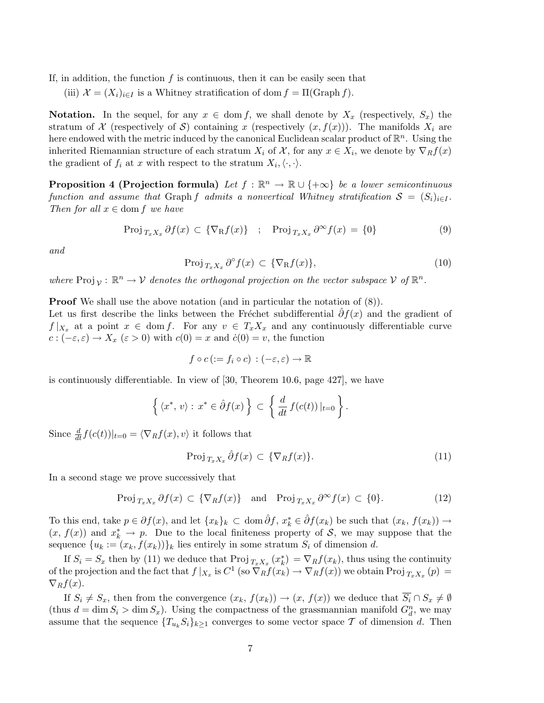If, in addition, the function  $f$  is continuous, then it can be easily seen that

(iii)  $\mathcal{X} = (X_i)_{i \in I}$  is a Whitney stratification of dom  $f = \Pi(\text{Graph } f)$ .

**Notation.** In the sequel, for any  $x \in \text{dom } f$ , we shall denote by  $X_x$  (respectively,  $S_x$ ) the stratum of X (respectively of S) containing x (respectively  $(x, f(x))$ ). The manifolds  $X_i$  are here endowed with the metric induced by the canonical Euclidean scalar product of  $\mathbb{R}^n$ . Using the inherited Riemannian structure of each stratum  $X_i$  of  $\mathcal{X}$ , for any  $x \in X_i$ , we denote by  $\nabla_R f(x)$ the gradient of  $f_i$  at x with respect to the stratum  $X_i, \langle \cdot, \cdot \rangle$ .

**Proposition 4 (Projection formula)** Let  $f : \mathbb{R}^n \to \mathbb{R} \cup \{+\infty\}$  be a lower semicontinuous function and assume that Graph f admits a nonvertical Whitney stratification  $S = (S_i)_{i \in I}$ . Then for all  $x \in \text{dom } f$  we have

$$
\text{Proj}_{T_x X_x} \partial f(x) \subset \{ \nabla_R f(x) \} \quad ; \quad \text{Proj}_{T_x X_x} \partial^{\infty} f(x) = \{ 0 \} \tag{9}
$$

and

$$
\text{Proj}_{T_x X_x} \partial^{\circ} f(x) \subset \{ \nabla_R f(x) \},\tag{10}
$$

where  $\text{Proj}_{\mathcal{V}} : \mathbb{R}^n \to \mathcal{V}$  denotes the orthogonal projection on the vector subspace  $\mathcal{V}$  of  $\mathbb{R}^n$ .

**Proof** We shall use the above notation (and in particular the notation of  $(8)$ ).

Let us first describe the links between the Fréchet subdifferential  $\partial f(x)$  and the gradient of  $f |_{X_x}$  at a point  $x \in \text{dom } f$ . For any  $v \in T_x X_x$  and any continuously differentiable curve  $c:(-\varepsilon,\varepsilon)\to X_x\ (\varepsilon>0)$  with  $c(0)=x$  and  $\dot{c}(0)=v$ , the function

$$
f \circ c \, (:= f_i \circ c) \, : (-\varepsilon, \varepsilon) \to \mathbb{R}
$$

is continuously differentiable. In view of [30, Theorem 10.6, page 427], we have

$$
\left\{ \langle x^*, v \rangle : x^* \in \hat{\partial} f(x) \right\} \subset \left\{ \frac{d}{dt} f(c(t)) \big|_{t=0} \right\}.
$$

Since  $\frac{d}{dt}f(c(t))|_{t=0} = \langle \nabla_R f(x), v \rangle$  it follows that

$$
\text{Proj}_{T_x X_x} \hat{\partial} f(x) \subset \{ \nabla_R f(x) \}. \tag{11}
$$

In a second stage we prove successively that

$$
\text{Proj}_{T_xX_x} \partial f(x) \subset \{ \nabla_R f(x) \} \quad \text{and} \quad \text{Proj}_{T_xX_x} \partial^{\infty} f(x) \subset \{0\}. \tag{12}
$$

To this end, take  $p \in \partial f(x)$ , and let  $\{x_k\}_k \subset \text{dom }\hat{\partial} f$ ,  $x_k^* \in \hat{\partial} f(x_k)$  be such that  $(x_k, f(x_k)) \to$  $(x, f(x))$  and  $x_k^* \to p$ . Due to the local finiteness property of S, we may suppose that the sequence  ${u_k := (x_k, f(x_k))\}$  lies entirely in some stratum  $S_i$  of dimension d.

If  $S_i = S_x$  then by (11) we deduce that  $\text{Proj}_{T_x X_x}(x_k^*) = \nabla_R f(x_k)$ , thus using the continuity of the projection and the fact that  $f|_{X_x}$  is  $C^1$  (so  $\overline{\nabla}_R f(x_k) \to \nabla_R f(x)$ ) we obtain Proj $_{T_x X_x}(p) =$  $\nabla_R f(x)$ .

If  $S_i \neq S_x$ , then from the convergence  $(x_k, f(x_k)) \to (x, f(x))$  we deduce that  $S_i \cap S_x \neq \emptyset$ (thus  $d = \dim S_i > \dim S_x$ ). Using the compactness of the grassmannian manifold  $G_d^n$ , we may assume that the sequence  ${T_{u_k}S_i}_{k\geq 1}$  converges to some vector space T of dimension d. Then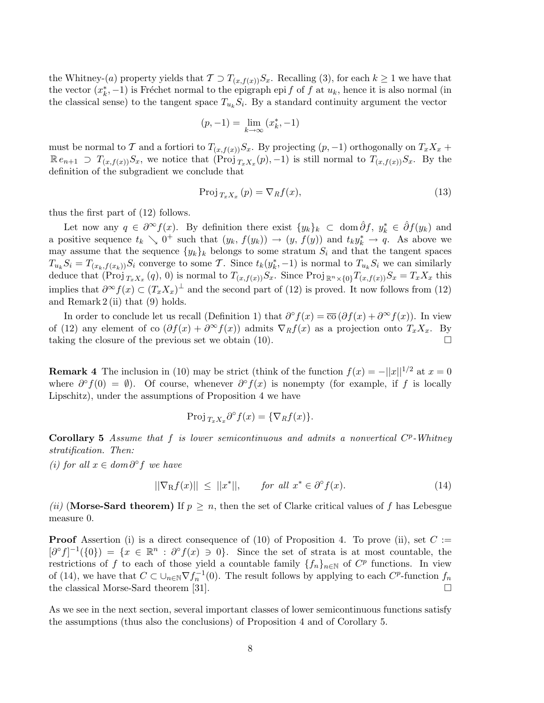the Whitney-(a) property yields that  $\mathcal{T} \supset T_{(x,f(x))}S_x$ . Recalling (3), for each  $k \geq 1$  we have that the vector  $(x_k^*, -1)$  is Fréchet normal to the epigraph epi f of f at  $u_k$ , hence it is also normal (in the classical sense) to the tangent space  $T_{u_k}S_i$ . By a standard continuity argument the vector

$$
(p, -1) = \lim_{k \to \infty} (x_k^*, -1)
$$

must be normal to T and a fortiori to  $T_{(x,f(x))}S_x$ . By projecting  $(p,-1)$  orthogonally on  $T_xX_x$  +  $\mathbb{R} e_{n+1} \supset T_{(x,f(x))} S_x$ , we notice that  $(\overrightarrow{\text{Proj}}_{T_x X_x}(p), -1)$  is still normal to  $T_{(x,f(x))} S_x$ . By the definition of the subgradient we conclude that

$$
\text{Proj}_{T_x X_x} (p) = \nabla_R f(x),\tag{13}
$$

thus the first part of (12) follows.

Let now any  $q \in \partial^{\infty} f(x)$ . By definition there exist  $\{y_k\}_k \subset \text{dom }\hat{\partial} f$ ,  $y_k^* \in \hat{\partial} f(y_k)$  and a positive sequence  $t_k \searrow 0^+$  such that  $(y_k, f(y_k)) \to (y, f(y))$  and  $t_k y_k^* \to q$ . As above we may assume that the sequence  $\{y_k\}_k$  belongs to some stratum  $S_i$  and that the tangent spaces  $T_{u_k}S_i = T_{(x_k, f(x_k))}S_i$  converge to some T. Since  $t_k(y_k^*, -1)$  is normal to  $T_{u_k}S_i$  we can similarly deduce that  $(\text{Proj }_{T_xX_x}(q), 0)$  is normal to  $T_{(x,f(x))}S_x$ . Since  $\text{Proj }_{\mathbb{R}^n\times\{0\}}T_{(x,f(x))}S_x=T_xX_x$  this implies that  $\partial^{\infty} f(x) \subset (T_x X_x)^{\perp}$  and the second part of (12) is proved. It now follows from (12) and Remark 2 (ii) that (9) holds.

In order to conclude let us recall (Definition 1) that  $\partial^{\circ} f(x) = \overline{\mathrm{co}} \left( \partial f(x) + \partial^{\infty} f(x) \right)$ . In view of (12) any element of co  $(\partial f(x) + \partial^{\infty} f(x))$  admits  $\nabla_R f(x)$  as a projection onto  $T_x X_x$ . By taking the closure of the previous set we obtain  $(10)$ .

**Remark 4** The inclusion in (10) may be strict (think of the function  $f(x) = -||x||^{1/2}$  at  $x = 0$ where  $\partial^{\circ} f(0) = \emptyset$ ). Of course, whenever  $\partial^{\circ} f(x)$  is nonempty (for example, if f is locally Lipschitz), under the assumptions of Proposition 4 we have

$$
\operatorname{Proj}_{T_x X_x} \partial^{\circ} f(x) = \{ \nabla_R f(x) \}.
$$

Corollary 5 Assume that  $f$  is lower semicontinuous and admits a nonvertical  $C^p$ -Whitney stratification. Then:

(*i*) for all  $x \in dom \partial^{\circ} f$  we have

$$
||\nabla_{\mathcal{R}}f(x)|| \le ||x^*||, \quad \text{for all } x^* \in \partial^{\circ}f(x). \tag{14}
$$

(ii) (Morse-Sard theorem) If  $p \geq n$ , then the set of Clarke critical values of f has Lebesgue measure 0.

**Proof** Assertion (i) is a direct consequence of (10) of Proposition 4. To prove (ii), set  $C :=$  $[\partial^{\circ} f]^{-1}(\{0\}) = \{x \in \mathbb{R}^n : \partial^{\circ} f(x) \ni 0\}.$  Since the set of strata is at most countable, the restrictions of f to each of those yield a countable family  $\{f_n\}_{n\in\mathbb{N}}$  of  $C^p$  functions. In view of (14), we have that  $C \subset \cup_{n\in\mathbb{N}} \nabla f_n^{-1}(0)$ . The result follows by applying to each  $C^p$ -function  $f_n$ the classical Morse-Sard theorem [31].

As we see in the next section, several important classes of lower semicontinuous functions satisfy the assumptions (thus also the conclusions) of Proposition 4 and of Corollary 5.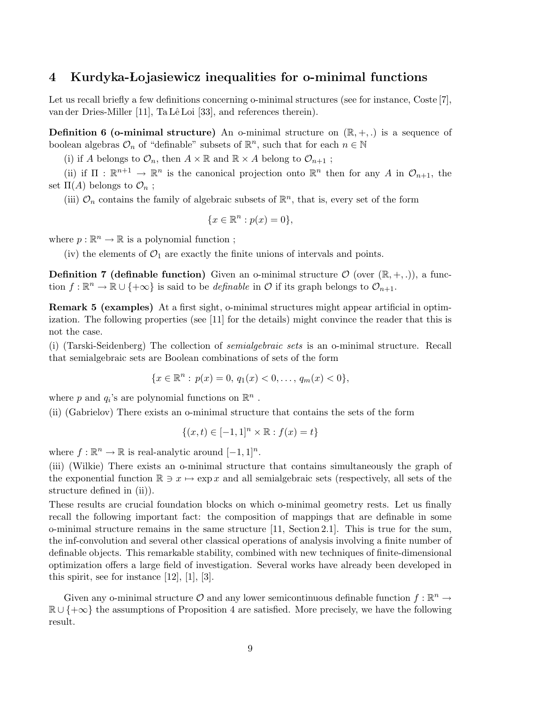## 4 Kurdyka- Lojasiewicz inequalities for o-minimal functions

Let us recall briefly a few definitions concerning o-minimal structures (see for instance, Coste [7], van der Dries-Miller [11], Ta Lê Loi [33], and references therein).

**Definition 6 (o-minimal structure)** An o-minimal structure on  $(\mathbb{R}, +, .)$  is a sequence of boolean algebras  $\mathcal{O}_n$  of "definable" subsets of  $\mathbb{R}^n$ , such that for each  $n \in \mathbb{N}$ 

(i) if A belongs to  $\mathcal{O}_n$ , then  $A \times \mathbb{R}$  and  $\mathbb{R} \times A$  belong to  $\mathcal{O}_{n+1}$ ;

(ii) if  $\Pi : \mathbb{R}^{n+1} \to \mathbb{R}^n$  is the canonical projection onto  $\mathbb{R}^n$  then for any A in  $\mathcal{O}_{n+1}$ , the set  $\Pi(A)$  belongs to  $\mathcal{O}_n$ ;

(iii)  $\mathcal{O}_n$  contains the family of algebraic subsets of  $\mathbb{R}^n$ , that is, every set of the form

$$
\{x \in \mathbb{R}^n : p(x) = 0\},\
$$

where  $p : \mathbb{R}^n \to \mathbb{R}$  is a polynomial function;

(iv) the elements of  $\mathcal{O}_1$  are exactly the finite unions of intervals and points.

**Definition 7 (definable function)** Given an o-minimal structure  $\mathcal{O}$  (over  $(\mathbb{R}, +, \cdot)$ ), a function  $f: \mathbb{R}^n \to \mathbb{R} \cup \{+\infty\}$  is said to be *definable* in  $\mathcal{O}$  if its graph belongs to  $\mathcal{O}_{n+1}$ .

Remark 5 (examples) At a first sight, o-minimal structures might appear artificial in optimization. The following properties (see [11] for the details) might convince the reader that this is not the case.

(i) (Tarski-Seidenberg) The collection of semialgebraic sets is an o-minimal structure. Recall that semialgebraic sets are Boolean combinations of sets of the form

$$
\{x \in \mathbb{R}^n : p(x) = 0, q_1(x) < 0, \dots, q_m(x) < 0\},
$$

where  $p$  and  $q_i$ 's are polynomial functions on  $\mathbb{R}^n$ .

(ii) (Gabrielov) There exists an o-minimal structure that contains the sets of the form

$$
\{(x,t) \in [-1,1]^n \times \mathbb{R} : f(x) = t\}
$$

where  $f: \mathbb{R}^n \to \mathbb{R}$  is real-analytic around  $[-1, 1]^n$ .

(iii) (Wilkie) There exists an o-minimal structure that contains simultaneously the graph of the exponential function  $\mathbb{R} \ni x \mapsto \exp x$  and all semialgebraic sets (respectively, all sets of the structure defined in (ii)).

These results are crucial foundation blocks on which o-minimal geometry rests. Let us finally recall the following important fact: the composition of mappings that are definable in some o-minimal structure remains in the same structure [11, Section 2.1]. This is true for the sum, the inf-convolution and several other classical operations of analysis involving a finite number of definable objects. This remarkable stability, combined with new techniques of finite-dimensional optimization offers a large field of investigation. Several works have already been developed in this spirit, see for instance [12], [1], [3].

Given any o-minimal structure  $\mathcal O$  and any lower semicontinuous definable function  $f : \mathbb{R}^n \to$  $\mathbb{R} \cup \{\pm \infty\}$  the assumptions of Proposition 4 are satisfied. More precisely, we have the following result.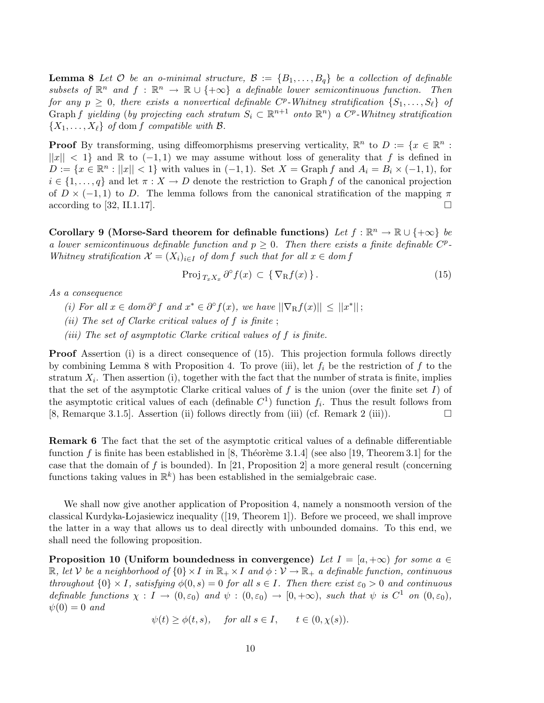**Lemma 8** Let  $\mathcal{O}$  be an o-minimal structure,  $\mathcal{B} := \{B_1, \ldots, B_q\}$  be a collection of definable subsets of  $\mathbb{R}^n$  and  $f : \mathbb{R}^n \to \mathbb{R} \cup \{+\infty\}$  a definable lower semicontinuous function. Then for any  $p \geq 0$ , there exists a nonvertical definable  $C^p$ -Whitney stratification  $\{S_1, \ldots, S_\ell\}$  of Graph f yielding (by projecting each stratum  $S_i \subset \mathbb{R}^{n+1}$  onto  $\mathbb{R}^n$ ) a  $C^p$ -Whitney stratification  $\{X_1, \ldots, X_\ell\}$  of dom f compatible with  $\mathcal{B}$ .

**Proof** By transforming, using diffeomorphisms preserving verticality,  $\mathbb{R}^n$  to  $D := \{x \in \mathbb{R}^n :$  $||x|| < 1$  and R to  $(-1, 1)$  we may assume without loss of generality that f is defined in  $D := \{x \in \mathbb{R}^n : ||x|| < 1\}$  with values in  $(-1, 1)$ . Set  $X = \text{Graph } f$  and  $A_i = B_i \times (-1, 1)$ , for  $i \in \{1, \ldots, q\}$  and let  $\pi : X \to D$  denote the restriction to Graph f of the canonical projection of  $D \times (-1,1)$  to D. The lemma follows from the canonical stratification of the mapping  $\pi$ according to [32, II.1.17].

Corollary 9 (Morse-Sard theorem for definable functions) Let  $f : \mathbb{R}^n \to \mathbb{R} \cup \{+\infty\}$  be a lower semicontinuous definable function and  $p \geq 0$ . Then there exists a finite definable  $C^p$ -Whitney stratification  $\mathcal{X} = (X_i)_{i \in I}$  of dom f such that for all  $x \in dom f$ 

$$
\operatorname{Proj}_{T_x X_x} \partial^{\circ} f(x) \subset \{ \nabla_{\mathcal{R}} f(x) \}.
$$
 (15)

As a consequence

(i) For all  $x \in dom \partial^{\circ} f$  and  $x^* \in \partial^{\circ} f(x)$ , we have  $||\nabla_R f(x)|| \leq ||x^*||$ ;

(ii) The set of Clarke critical values of  $f$  is finite;

(iii) The set of asymptotic Clarke critical values of f is finite.

**Proof** Assertion (i) is a direct consequence of (15). This projection formula follows directly by combining Lemma 8 with Proposition 4. To prove (iii), let  $f_i$  be the restriction of f to the stratum  $X_i$ . Then assertion (i), together with the fact that the number of strata is finite, implies that the set of the asymptotic Clarke critical values of f is the union (over the finite set I) of the asymptotic critical values of each (definable  $C<sup>1</sup>$ ) function  $f<sub>i</sub>$ . Thus the result follows from [8, Remarque 3.1.5]. Assertion (ii) follows directly from (iii) (cf. Remark 2 (iii)).

Remark 6 The fact that the set of the asymptotic critical values of a definable differentiable function f is finite has been established in [8, Théorème 3.1.4] (see also [19, Theorem 3.1] for the case that the domain of f is bounded). In [21, Proposition 2] a more general result (concerning functions taking values in  $\mathbb{R}^k$ ) has been established in the semialgebraic case.

We shall now give another application of Proposition 4, namely a nonsmooth version of the classical Kurdyka- Lojasiewicz inequality ([19, Theorem 1]). Before we proceed, we shall improve the latter in a way that allows us to deal directly with unbounded domains. To this end, we shall need the following proposition.

**Proposition 10 (Uniform boundedness in convergence)** Let  $I = [a, +\infty)$  for some  $a \in$  $\mathbb{R}$ , let V be a neighborhood of  $\{0\} \times I$  in  $\mathbb{R}_+ \times I$  and  $\phi: \mathcal{V} \to \mathbb{R}_+$  a definable function, continuous throughout  $\{0\} \times I$ , satisfying  $\phi(0, s) = 0$  for all  $s \in I$ . Then there exist  $\varepsilon_0 > 0$  and continuous definable functions  $\chi : I \to (0, \varepsilon_0)$  and  $\psi : (0, \varepsilon_0) \to [0, +\infty)$ , such that  $\psi$  is  $C^1$  on  $(0, \varepsilon_0)$ ,  $\psi(0) = 0$  and

$$
\psi(t) \geq \phi(t,s)
$$
, for all  $s \in I$ ,  $t \in (0, \chi(s))$ .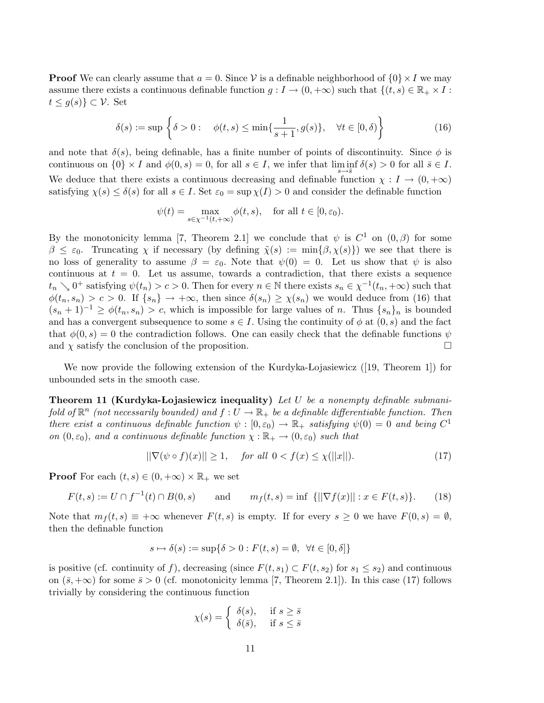**Proof** We can clearly assume that  $a = 0$ . Since V is a definable neighborhood of  $\{0\} \times I$  we may assume there exists a continuous definable function  $g: I \to (0, +\infty)$  such that  $\{(t, s) \in \mathbb{R}_+ \times I :$  $t \leq g(s) \} \subset \mathcal{V}$ . Set

$$
\delta(s) := \sup \left\{ \delta > 0 : \quad \phi(t, s) \le \min\{\frac{1}{s+1}, g(s)\}, \quad \forall t \in [0, \delta) \right\} \tag{16}
$$

and note that  $\delta(s)$ , being definable, has a finite number of points of discontinuity. Since  $\phi$  is continuous on  $\{0\} \times I$  and  $\phi(0, s) = 0$ , for all  $s \in I$ , we infer that  $\liminf_{s \to \overline{s}} \delta(s) > 0$  for all  $\overline{s} \in I$ . We deduce that there exists a continuous decreasing and definable function  $\chi : I \to (0, +\infty)$ satisfying  $\chi(s) \leq \delta(s)$  for all  $s \in I$ . Set  $\varepsilon_0 = \sup \chi(I) > 0$  and consider the definable function

$$
\psi(t) = \max_{s \in \chi^{-1}(t, +\infty)} \phi(t, s), \quad \text{for all } t \in [0, \varepsilon_0).
$$

By the monotonicity lemma [7, Theorem 2.1] we conclude that  $\psi$  is  $C^1$  on  $(0, \beta)$  for some  $\beta \leq \varepsilon_0$ . Truncating  $\chi$  if necessary (by defining  $\tilde{\chi}(s) := \min\{\beta, \chi(s)\}\)$  we see that there is no loss of generality to assume  $\beta = \varepsilon_0$ . Note that  $\psi(0) = 0$ . Let us show that  $\psi$  is also continuous at  $t = 0$ . Let us assume, towards a contradiction, that there exists a sequence  $t_n \searrow 0^+$  satisfying  $\psi(t_n) > c > 0$ . Then for every  $n \in \mathbb{N}$  there exists  $s_n \in \chi^{-1}(t_n, +\infty)$  such that  $\phi(t_n, s_n) > c > 0$ . If  $\{s_n\} \to +\infty$ , then since  $\delta(s_n) \geq \chi(s_n)$  we would deduce from (16) that  $(s_n + 1)^{-1} \ge \phi(t_n, s_n) > c$ , which is impossible for large values of n. Thus  $\{s_n\}_n$  is bounded and has a convergent subsequence to some  $s \in I$ . Using the continuity of  $\phi$  at  $(0, s)$  and the fact that  $\phi(0, s) = 0$  the contradiction follows. One can easily check that the definable functions  $\psi$ and  $\chi$  satisfy the conclusion of the proposition.

We now provide the following extension of the Kurdyka-Lojasiewicz ([19, Theorem 1]) for unbounded sets in the smooth case.

**Theorem 11 (Kurdyka-Lojasiewicz inequality)** Let U be a nonempty definable submanifold of  $\mathbb{R}^n$  (not necessarily bounded) and  $f:U\to\mathbb{R}_+$  be a definable differentiable function. Then there exist a continuous definable function  $\psi : [0, \varepsilon_0) \to \mathbb{R}_+$  satisfying  $\psi(0) = 0$  and being  $C^1$ on  $(0, \varepsilon_0)$ , and a continuous definable function  $\chi : \mathbb{R}_+ \to (0, \varepsilon_0)$  such that

$$
\|\nabla(\psi \circ f)(x)\| \ge 1, \quad \text{for all } 0 < f(x) \le \chi(\|x\|). \tag{17}
$$

**Proof** For each  $(t, s) \in (0, +\infty) \times \mathbb{R}_+$  we set

$$
F(t,s) := U \cap f^{-1}(t) \cap B(0,s) \quad \text{and} \quad m_f(t,s) = \inf \{ ||\nabla f(x)|| : x \in F(t,s) \}. \tag{18}
$$

Note that  $m_f(t, s) \equiv +\infty$  whenever  $F(t, s)$  is empty. If for every  $s \geq 0$  we have  $F(0, s) = \emptyset$ , then the definable function

$$
s \mapsto \delta(s) := \sup\{\delta > 0 : F(t, s) = \emptyset, \ \forall t \in [0, \delta]\}
$$

is positive (cf. continuity of f), decreasing (since  $F(t, s_1) \subset F(t, s_2)$  for  $s_1 \leq s_2$ ) and continuous on  $(\bar{s}, +\infty)$  for some  $\bar{s} > 0$  (cf. monotonicity lemma [7, Theorem 2.1]). In this case (17) follows trivially by considering the continuous function

$$
\chi(s) = \begin{cases} \delta(s), & \text{if } s \ge \bar{s} \\ \delta(\bar{s}), & \text{if } s \le \bar{s} \end{cases}
$$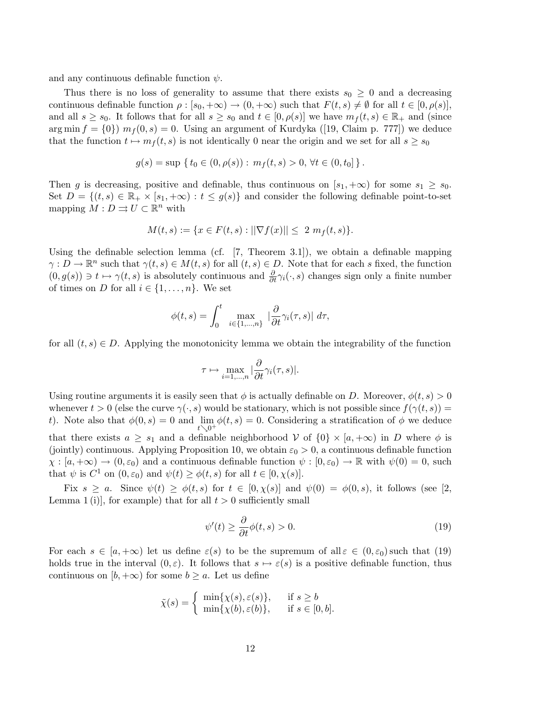and any continuous definable function  $\psi$ .

Thus there is no loss of generality to assume that there exists  $s_0 \geq 0$  and a decreasing continuous definable function  $\rho : [s_0, +\infty) \to (0, +\infty)$  such that  $F(t, s) \neq \emptyset$  for all  $t \in [0, \rho(s)],$ and all  $s \geq s_0$ . It follows that for all  $s \geq s_0$  and  $t \in [0, \rho(s)]$  we have  $m_f(t, s) \in \mathbb{R}_+$  and (since arg min  $f = \{0\}$  m<sub>f</sub> $(0, s) = 0$ . Using an argument of Kurdyka ([19, Claim p. 777]) we deduce that the function  $t \mapsto m_f (t, s)$  is not identically 0 near the origin and we set for all  $s \geq s_0$ 

$$
g(s) = \sup \{ t_0 \in (0, \rho(s)) : m_f(t, s) > 0, \forall t \in (0, t_0] \}.
$$

Then g is decreasing, positive and definable, thus continuous on  $[s_1, +\infty)$  for some  $s_1 \geq s_0$ . Set  $D = \{(t, s) \in \mathbb{R}_+ \times [s_1, +\infty) : t \le g(s)\}\$ and consider the following definable point-to-set mapping  $M: D \rightrightarrows U \subset \mathbb{R}^n$  with

$$
M(t,s) := \{ x \in F(t,s) : ||\nabla f(x)|| \leq 2 \, m_f(t,s) \}.
$$

Using the definable selection lemma (cf.  $[7,$  Theorem 3.1]), we obtain a definable mapping  $\gamma: D \to \mathbb{R}^n$  such that  $\gamma(t, s) \in M(t, s)$  for all  $(t, s) \in D$ . Note that for each s fixed, the function  $(0, g(s)) \ni t \mapsto \gamma(t, s)$  is absolutely continuous and  $\frac{\partial}{\partial t}\gamma_i(\cdot, s)$  changes sign only a finite number of times on D for all  $i \in \{1, \ldots, n\}$ . We set

$$
\phi(t,s) = \int_0^t \max_{i \in \{1,\dots,n\}} \left| \frac{\partial}{\partial t} \gamma_i(\tau,s) \right| d\tau,
$$

for all  $(t, s) \in D$ . Applying the monotonicity lemma we obtain the integrability of the function

$$
\tau \mapsto \max_{i=1,\dots,n} |\frac{\partial}{\partial t}\gamma_i(\tau,s)|.
$$

Using routine arguments it is easily seen that  $\phi$  is actually definable on D. Moreover,  $\phi(t, s) > 0$ whenever  $t > 0$  (else the curve  $\gamma(\cdot, s)$  would be stationary, which is not possible since  $f(\gamma(t, s)) =$ t). Note also that  $\phi(0, s) = 0$  and  $\lim_{t \searrow 0^+} \phi(t, s) = 0$ . Considering a stratification of  $\phi$  we deduce that there exists  $a \geq s_1$  and a definable neighborhood V of  $\{0\} \times [a, +\infty)$  in D where  $\phi$  is (jointly) continuous. Applying Proposition 10, we obtain  $\varepsilon_0 > 0$ , a continuous definable function  $\chi : [a, +\infty) \to (0, \varepsilon_0)$  and a continuous definable function  $\psi : [0, \varepsilon_0) \to \mathbb{R}$  with  $\psi(0) = 0$ , such that  $\psi$  is  $C^1$  on  $(0, \varepsilon_0)$  and  $\psi(t) \ge \phi(t, s)$  for all  $t \in [0, \chi(s)]$ .

Fix  $s > a$ . Since  $\psi(t) \geq \phi(t, s)$  for  $t \in [0, \chi(s)]$  and  $\psi(0) = \phi(0, s)$ , it follows (see [2, Lemma 1 (i)], for example) that for all  $t > 0$  sufficiently small

$$
\psi'(t) \ge \frac{\partial}{\partial t}\phi(t,s) > 0.
$$
\n(19)

For each  $s \in [a, +\infty)$  let us define  $\varepsilon(s)$  to be the supremum of all  $\varepsilon \in (0, \varepsilon_0)$  such that  $(19)$ holds true in the interval  $(0, \varepsilon)$ . It follows that  $s \mapsto \varepsilon(s)$  is a positive definable function, thus continuous on  $[b, +\infty)$  for some  $b \ge a$ . Let us define

$$
\tilde{\chi}(s) = \begin{cases}\n\min{\{\chi(s), \varepsilon(s)\}}, & \text{if } s \ge b \\
\min{\{\chi(b), \varepsilon(b)\}}, & \text{if } s \in [0, b].\n\end{cases}
$$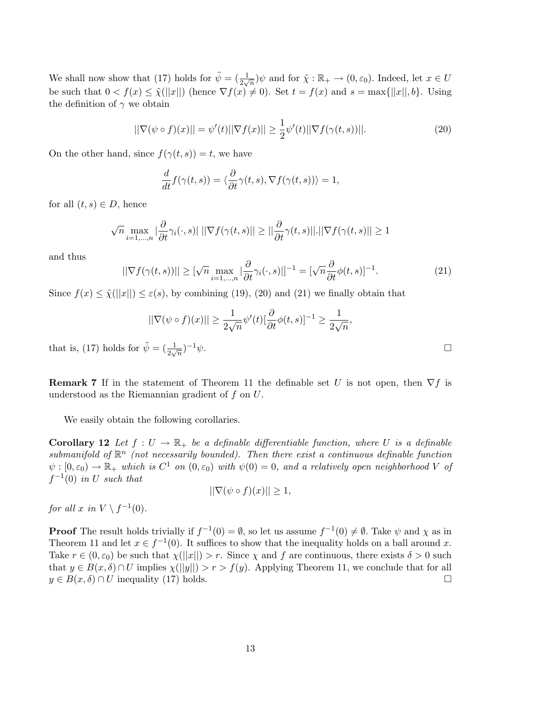We shall now show that (17) holds for  $\tilde{\psi} = (\frac{1}{2\sqrt{n}})\psi$  and for  $\tilde{\chi}: \mathbb{R}_+ \to (0, \varepsilon_0)$ . Indeed, let  $x \in U$ be such that  $0 < f(x) \leq \tilde{\chi}(||x||)$  (hence  $\nabla f(x) \neq 0$ ). Set  $t = f(x)$  and  $s = \max{||x||, b}$ . Using the definition of  $\gamma$  we obtain

$$
||\nabla(\psi \circ f)(x)|| = \psi'(t)||\nabla f(x)|| \ge \frac{1}{2}\psi'(t)||\nabla f(\gamma(t,s))||. \tag{20}
$$

On the other hand, since  $f(\gamma(t,s)) = t$ , we have

$$
\frac{d}{dt}f(\gamma(t,s)) = \langle \frac{\partial}{\partial t}\gamma(t,s), \nabla f(\gamma(t,s)) \rangle = 1,
$$

for all  $(t, s) \in D$ , hence

$$
\sqrt{n} \max_{i=1,\dots,n} |\frac{\partial}{\partial t} \gamma_i(\cdot,s)| ||\nabla f(\gamma(t,s)|| \ge ||\frac{\partial}{\partial t} \gamma(t,s)||.||\nabla f(\gamma(t,s)|| \ge 1
$$

and thus

$$
||\nabla f(\gamma(t,s))|| \geq [\sqrt{n} \max_{i=1,\dots,n} |\frac{\partial}{\partial t}\gamma_i(\cdot,s)|]^{-1} = [\sqrt{n}\frac{\partial}{\partial t}\phi(t,s)]^{-1}.
$$
 (21)

Since  $f(x) \leq \tilde{\chi}(||x||) \leq \varepsilon(s)$ , by combining (19), (20) and (21) we finally obtain that

$$
||\nabla(\psi \circ f)(x)|| \geq \frac{1}{2\sqrt{n}}\psi'(t)[\frac{\partial}{\partial t}\phi(t,s)]^{-1} \geq \frac{1}{2\sqrt{n}},
$$

that is, (17) holds for  $\tilde{\psi} = (\frac{1}{2\sqrt{n}})$  $-1\psi$ .

**Remark 7** If in the statement of Theorem 11 the definable set U is not open, then  $\nabla f$  is understood as the Riemannian gradient of  $f$  on  $U$ .

We easily obtain the following corollaries.

**Corollary 12** Let  $f: U \to \mathbb{R}_+$  be a definable differentiable function, where U is a definable submanifold of  $\mathbb{R}^n$  (not necessarily bounded). Then there exist a continuous definable function  $\psi:[0,\varepsilon_0)\to\mathbb{R}_+$  which is  $C^1$  on  $(0,\varepsilon_0)$  with  $\psi(0)=0$ , and a relatively open neighborhood V of  $f^{-1}(0)$  in U such that

$$
||\nabla(\psi \circ f)(x)|| \ge 1,
$$

for all x in  $V \setminus f^{-1}(0)$ .

**Proof** The result holds trivially if  $f^{-1}(0) = \emptyset$ , so let us assume  $f^{-1}(0) \neq \emptyset$ . Take  $\psi$  and  $\chi$  as in Theorem 11 and let  $x \in f^{-1}(0)$ . It suffices to show that the inequality holds on a ball around x. Take  $r \in (0, \varepsilon_0)$  be such that  $\chi(||x||) > r$ . Since  $\chi$  and f are continuous, there exists  $\delta > 0$  such that  $y \in B(x, \delta) \cap U$  implies  $\chi(||y||) > r > f(y)$ . Applying Theorem 11, we conclude that for all  $y \in B(x, \delta) \cap U$  inequality (17) holds.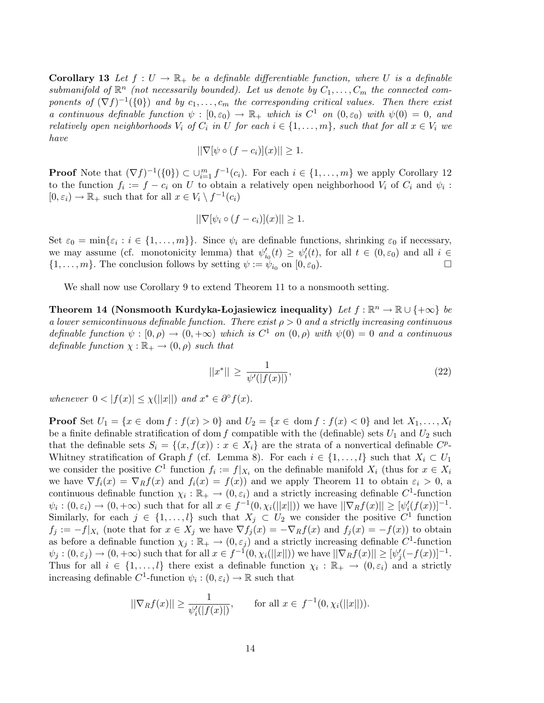**Corollary 13** Let  $f: U \to \mathbb{R}_+$  be a definable differentiable function, where U is a definable submanifold of  $\mathbb{R}^n$  (not necessarily bounded). Let us denote by  $C_1, \ldots, C_m$  the connected components of  $(\nabla f)^{-1}(\{0\})$  and by  $c_1,\ldots,c_m$  the corresponding critical values. Then there exist a continuous definable function  $\psi : [0, \varepsilon_0) \to \mathbb{R}_+$  which is  $C^1$  on  $(0, \varepsilon_0)$  with  $\psi(0) = 0$ , and relatively open neighborhoods  $V_i$  of  $C_i$  in U for each  $i \in \{1, \ldots, m\}$ , such that for all  $x \in V_i$  we have

$$
||\nabla[\psi \circ (f - c_i)](x)|| \ge 1.
$$

**Proof** Note that  $(\nabla f)^{-1}(\{0\}) \subset \bigcup_{i=1}^{m} f^{-1}(c_i)$ . For each  $i \in \{1, ..., m\}$  we apply Corollary 12 to the function  $f_i := f - c_i$  on U to obtain a relatively open neighborhood  $V_i$  of  $C_i$  and  $\psi_i$ :  $[0, \varepsilon_i) \to \mathbb{R}_+$  such that for all  $x \in V_i \setminus f^{-1}(c_i)$ 

$$
||\nabla[\psi_i \circ (f - c_i)](x)|| \ge 1.
$$

Set  $\varepsilon_0 = \min\{\varepsilon_i : i \in \{1, \ldots, m\}\}.$  Since  $\psi_i$  are definable functions, shrinking  $\varepsilon_0$  if necessary, we may assume (cf. monotonicity lemma) that  $\psi'_{i_0}(t) \geq \psi'_i(t)$ , for all  $t \in (0, \varepsilon_0)$  and all  $i \in$  $\{1,\ldots,m\}$ . The conclusion follows by setting  $\psi := \psi_{i_0}$  on  $[0,\varepsilon_0)$ .

We shall now use Corollary 9 to extend Theorem 11 to a nonsmooth setting.

Theorem 14 (Nonsmooth Kurdyka-Lojasiewicz inequality) Let  $f : \mathbb{R}^n \to \mathbb{R} \cup \{+\infty\}$  be a lower semicontinuous definable function. There exist  $\rho > 0$  and a strictly increasing continuous definable function  $\psi : [0, \rho) \to (0, +\infty)$  which is  $C^1$  on  $(0, \rho)$  with  $\psi(0) = 0$  and a continuous definable function  $\chi : \mathbb{R}_+ \to (0, \rho)$  such that

$$
||x^*|| \ge \frac{1}{\psi'(|f(x)|)},
$$
\n(22)

whenever  $0 < |f(x)| \leq \chi(||x||)$  and  $x^* \in \partial^{\circ} f(x)$ .

**Proof** Set  $U_1 = \{x \in \text{dom } f : f(x) > 0\}$  and  $U_2 = \{x \in \text{dom } f : f(x) < 0\}$  and let  $X_1, \ldots, X_l$ be a finite definable stratification of dom f compatible with the (definable) sets  $U_1$  and  $U_2$  such that the definable sets  $S_i = \{(x, f(x)) : x \in X_i\}$  are the strata of a nonvertical definable  $C^p$ -Whitney stratification of Graph f (cf. Lemma 8). For each  $i \in \{1, \ldots, l\}$  such that  $X_i \subset U_1$ we consider the positive  $C^1$  function  $f_i := f|_{X_i}$  on the definable manifold  $X_i$  (thus for  $x \in X_i$ we have  $\nabla f_i(x) = \nabla_R f(x)$  and  $f_i(x) = f(x)$  and we apply Theorem 11 to obtain  $\varepsilon_i > 0$ , a continuous definable function  $\chi_i : \mathbb{R}_+ \to (0, \varepsilon_i)$  and a strictly increasing definable  $C^1$ -function  $\psi_i : (0, \varepsilon_i) \to (0, +\infty)$  such that for all  $x \in f^{-1}(0, \chi_i(||x||))$  we have  $||\nabla_R f(x)|| \geq [\psi'_i(f(x))]^{-1}$ . Similarly, for each  $j \in \{1, ..., l\}$  such that  $X_j \subset U_2$  we consider the positive  $C^1$  function  $f_j := -f|_{X_i}$  (note that for  $x \in X_j$  we have  $\nabla f_j(x) = -\nabla_R f(x)$  and  $f_j(x) = -f(x)$ ) to obtain as before a definable function  $\chi_j : \mathbb{R}_+ \to (0, \varepsilon_j)$  and a strictly increasing definable  $C^1$ -function  $\psi_j : (0, \varepsilon_j) \to (0, +\infty)$  such that for all  $x \in f^{-1}(0, \chi_i(||x||))$  we have  $||\nabla_R f(x)|| \geq [\psi'_j(-f(x))]^{-1}$ . Thus for all  $i \in \{1,\ldots,l\}$  there exist a definable function  $\chi_i : \mathbb{R}_+ \to (0,\varepsilon_i)$  and a strictly increasing definable  $C^1$ -function  $\psi_i : (0, \varepsilon_i) \to \mathbb{R}$  such that

$$
||\nabla_R f(x)|| \ge \frac{1}{\psi_i'(|f(x)|)},
$$
 for all  $x \in f^{-1}(0, \chi_i(||x||)).$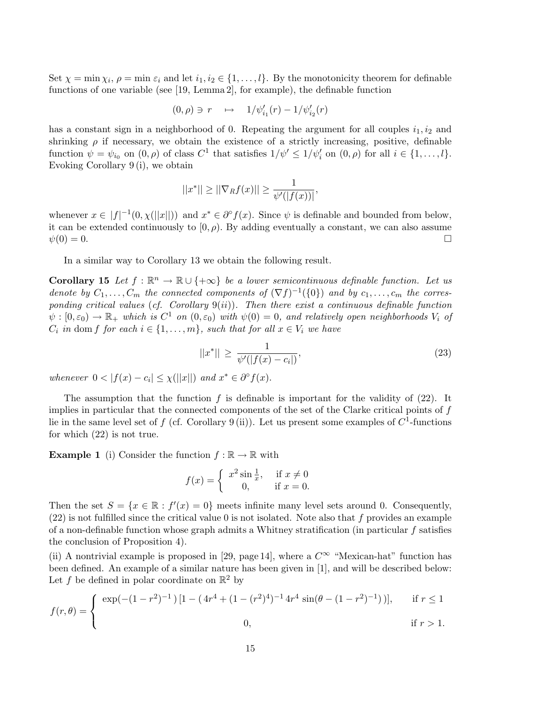Set  $\chi = \min \chi_i$ ,  $\rho = \min \varepsilon_i$  and let  $i_1, i_2 \in \{1, \ldots, l\}$ . By the monotonicity theorem for definable functions of one variable (see [19, Lemma 2], for example), the definable function

$$
(0,\rho)\ni r\quad\mapsto\quad 1/\psi_{i_1}'(r)-1/\psi_{i_2}'(r)
$$

has a constant sign in a neighborhood of 0. Repeating the argument for all couples  $i_1, i_2$  and shrinking  $\rho$  if necessary, we obtain the existence of a strictly increasing, positive, definable function  $\psi = \psi_{i_0}$  on  $(0, \rho)$  of class  $C^1$  that satisfies  $1/\psi' \leq 1/\psi'_i$  on  $(0, \rho)$  for all  $i \in \{1, ..., l\}$ . Evoking Corollary 9 (i), we obtain

$$
||x^*|| \ge ||\nabla_R f(x)|| \ge \frac{1}{\psi'(|f(x))|},
$$

whenever  $x \in |f|^{-1}(0, \chi(||x||))$  and  $x^* \in \partial^{\circ} f(x)$ . Since  $\psi$  is definable and bounded from below, it can be extended continuously to  $[0, \rho)$ . By adding eventually a constant, we can also assume  $\psi(0) = 0.$ 

In a similar way to Corollary 13 we obtain the following result.

**Corollary 15** Let  $f : \mathbb{R}^n \to \mathbb{R} \cup \{+\infty\}$  be a lower semicontinuous definable function. Let us denote by  $C_1, \ldots, C_m$  the connected components of  $(\nabla f)^{-1}(\{0\})$  and by  $c_1, \ldots, c_m$  the corresponding critical values (cf. Corollary  $9(ii)$ ). Then there exist a continuous definable function  $\psi:[0,\varepsilon_0)\to\mathbb{R}_+$  which is  $C^1$  on  $(0,\varepsilon_0)$  with  $\psi(0)=0$ , and relatively open neighborhoods  $V_i$  of  $C_i$  in dom f for each  $i \in \{1, \ldots, m\}$ , such that for all  $x \in V_i$  we have

$$
||x^*|| \ge \frac{1}{\psi'(|f(x) - c_i|)},
$$
\n(23)

whenever  $0 < |f(x) - c_i| \leq \chi(||x||)$  and  $x^* \in \partial^{\circ} f(x)$ .

The assumption that the function  $f$  is definable is important for the validity of  $(22)$ . It implies in particular that the connected components of the set of the Clarke critical points of  $f$ lie in the same level set of f (cf. Corollary 9(ii)). Let us present some examples of  $C^1$ -functions for which (22) is not true.

**Example 1** (i) Consider the function  $f : \mathbb{R} \to \mathbb{R}$  with

$$
f(x) = \begin{cases} x^2 \sin \frac{1}{x}, & \text{if } x \neq 0 \\ 0, & \text{if } x = 0. \end{cases}
$$

Then the set  $S = \{x \in \mathbb{R} : f'(x) = 0\}$  meets infinite many level sets around 0. Consequently,  $(22)$  is not fulfilled since the critical value 0 is not isolated. Note also that f provides an example of a non-definable function whose graph admits a Whitney stratification (in particular f satisfies the conclusion of Proposition 4).

(ii) A nontrivial example is proposed in [29, page 14], where a  $C^{\infty}$  "Mexican-hat" function has been defined. An example of a similar nature has been given in [1], and will be described below: Let f be defined in polar coordinate on  $\mathbb{R}^2$  by

$$
f(r,\theta) = \begin{cases} \exp(-(1-r^2)^{-1})\left[1 - (4r^4 + (1-(r^2)^4)^{-1}4r^4\sin(\theta - (1-r^2)^{-1})\right], & \text{if } r \le 1 \\ 0, & \text{if } r > 1. \end{cases}
$$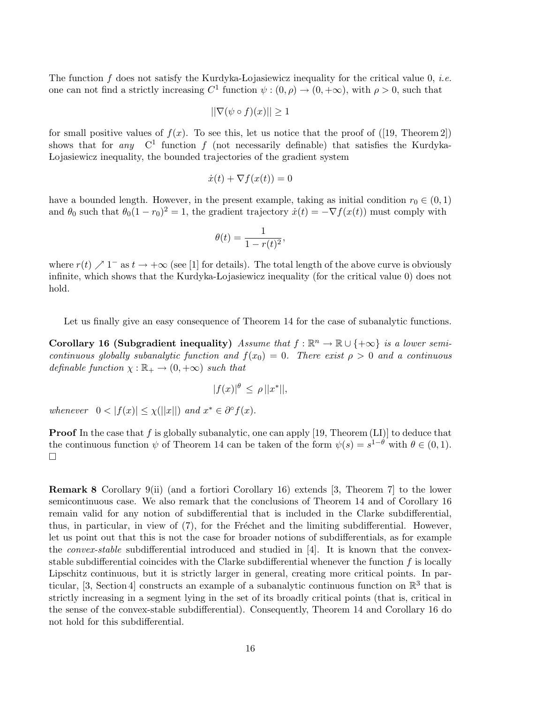The function  $f$  does not satisfy the Kurdyka-Lojasiewicz inequality for the critical value 0, *i.e.* one can not find a strictly increasing  $C^1$  function  $\psi : (0, \rho) \to (0, +\infty)$ , with  $\rho > 0$ , such that

$$
\|\nabla(\psi \circ f)(x)\| \ge 1
$$

for small positive values of  $f(x)$ . To see this, let us notice that the proof of ([19, Theorem 2]) shows that for any  $C^1$  function f (not necessarily definable) that satisfies the Kurdyka-Lojasiewicz inequality, the bounded trajectories of the gradient system

$$
\dot{x}(t) + \nabla f(x(t)) = 0
$$

have a bounded length. However, in the present example, taking as initial condition  $r_0 \in (0, 1)$ and  $\theta_0$  such that  $\theta_0(1 - r_0)^2 = 1$ , the gradient trajectory  $\dot{x}(t) = -\nabla f(x(t))$  must comply with

$$
\theta(t) = \frac{1}{1 - r(t)^2},
$$

where  $r(t) \nearrow 1^-$  as  $t \to +\infty$  (see [1] for details). The total length of the above curve is obviously infinite, which shows that the Kurdyka-Lojasiewicz inequality (for the critical value 0) does not hold.

Let us finally give an easy consequence of Theorem 14 for the case of subanalytic functions.

Corollary 16 (Subgradient inequality) Assume that  $f : \mathbb{R}^n \to \mathbb{R} \cup \{+\infty\}$  is a lower semicontinuous globally subanalytic function and  $f(x_0) = 0$ . There exist  $\rho > 0$  and a continuous definable function  $\chi : \mathbb{R}_+ \to (0, +\infty)$  such that

$$
|f(x)|^{\theta} \le \rho ||x^*||,
$$

whenever  $0 < |f(x)| \leq \chi(||x||)$  and  $x^* \in \partial^{\circ} f(x)$ .

**Proof** In the case that f is globally subanalytic, one can apply [19, Theorem  $(LI)$ ] to deduce that the continuous function  $\psi$  of Theorem 14 can be taken of the form  $\psi(s) = s^{1-\theta}$  with  $\theta \in (0,1)$ .  $\Box$ 

Remark 8 Corollary 9(ii) (and a fortiori Corollary 16) extends [3, Theorem 7] to the lower semicontinuous case. We also remark that the conclusions of Theorem 14 and of Corollary 16 remain valid for any notion of subdifferential that is included in the Clarke subdifferential, thus, in particular, in view of  $(7)$ , for the Fréchet and the limiting subdifferential. However, let us point out that this is not the case for broader notions of subdifferentials, as for example the *convex-stable* subdifferential introduced and studied in [4]. It is known that the convexstable subdifferential coincides with the Clarke subdifferential whenever the function  $f$  is locally Lipschitz continuous, but it is strictly larger in general, creating more critical points. In particular, [3, Section 4] constructs an example of a subanalytic continuous function on  $\mathbb{R}^3$  that is strictly increasing in a segment lying in the set of its broadly critical points (that is, critical in the sense of the convex-stable subdifferential). Consequently, Theorem 14 and Corollary 16 do not hold for this subdifferential.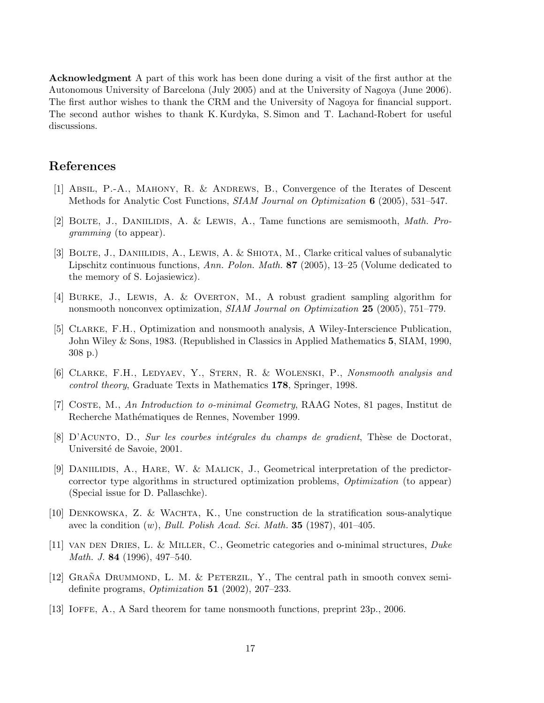Acknowledgment A part of this work has been done during a visit of the first author at the Autonomous University of Barcelona (July 2005) and at the University of Nagoya (June 2006). The first author wishes to thank the CRM and the University of Nagoya for financial support. The second author wishes to thank K. Kurdyka, S. Simon and T. Lachand-Robert for useful discussions.

### References

- [1] Absil, P.-A., Mahony, R. & Andrews, B., Convergence of the Iterates of Descent Methods for Analytic Cost Functions, *SIAM Journal on Optimization* 6 (2005), 531–547.
- [2] Bolte, J., Daniilidis, A. & Lewis, A., Tame functions are semismooth, Math. Programming (to appear).
- [3] BOLTE, J., DANIILIDIS, A., LEWIS, A. & SHIOTA, M., Clarke critical values of subanalytic Lipschitz continuous functions, Ann. Polon. Math. 87 (2005), 13–25 (Volume dedicated to the memory of S. Lojasiewicz).
- [4] Burke, J., Lewis, A. & Overton, M., A robust gradient sampling algorithm for nonsmooth nonconvex optimization, SIAM Journal on Optimization 25 (2005), 751–779.
- [5] Clarke, F.H., Optimization and nonsmooth analysis, A Wiley-Interscience Publication, John Wiley & Sons, 1983. (Republished in Classics in Applied Mathematics 5, SIAM, 1990, 308 p.)
- [6] CLARKE, F.H., LEDYAEV, Y., STERN, R. & WOLENSKI, P., Nonsmooth analysis and control theory, Graduate Texts in Mathematics 178, Springer, 1998.
- [7] Coste, M., An Introduction to o-minimal Geometry, RAAG Notes, 81 pages, Institut de Recherche Mathématiques de Rennes, November 1999.
- [8] D'ACUNTO, D., Sur les courbes intégrales du champs de gradient, Thèse de Doctorat, Université de Savoie, 2001.
- [9] Daniilidis, A., Hare, W. & Malick, J., Geometrical interpretation of the predictorcorrector type algorithms in structured optimization problems, Optimization (to appear) (Special issue for D. Pallaschke).
- [10] Denkowska, Z. & Wachta, K., Une construction de la stratification sous-analytique avec la condition  $(w)$ , *Bull. Polish Acad. Sci. Math.* **35** (1987), 401–405.
- [11] VAN DEN DRIES, L. & MILLER, C., Geometric categories and o-minimal structures,  $Duke$ Math. J. 84 (1996), 497–540.
- [12] GRAÑA DRUMMOND, L. M. & PETERZIL, Y., The central path in smooth convex semidefinite programs,  $Optimization$  51 (2002), 207-233.
- [13] Ioffe, A., A Sard theorem for tame nonsmooth functions, preprint 23p., 2006.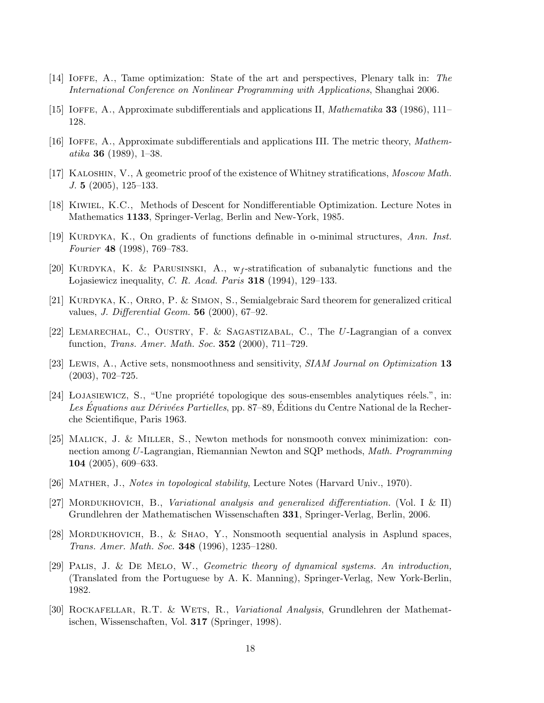- [14] Ioffe, A., Tame optimization: State of the art and perspectives, Plenary talk in: The International Conference on Nonlinear Programming with Applications, Shanghai 2006.
- [15] IOFFE, A., Approximate subdifferentials and applications II, *Mathematika* **33** (1986), 111– 128.
- [16] Ioffe, A., Approximate subdifferentials and applications III. The metric theory, Mathematika 36 (1989), 1–38.
- [17] Kaloshin, V., A geometric proof of the existence of Whitney stratifications, Moscow Math. J. 5 (2005), 125–133.
- [18] Kiwiel, K.C., Methods of Descent for Nondifferentiable Optimization. Lecture Notes in Mathematics 1133, Springer-Verlag, Berlin and New-York, 1985.
- [19] KURDYKA, K., On gradients of functions definable in o-minimal structures, Ann. Inst. Fourier 48 (1998), 769–783.
- [20] KURDYKA, K. & PARUSINSKI, A.,  $w_f$ -stratification of subanalytic functions and the Lojasiewicz inequality, C. R. Acad. Paris  $318$  (1994), 129–133.
- [21] KURDYKA, K., ORRO, P. & SIMON, S., Semialgebraic Sard theorem for generalized critical values, *J. Differential Geom.* **56** (2000), 67–92.
- [22] Lemarechal, C., Oustry, F. & Sagastizabal, C., The U-Lagrangian of a convex function, *Trans. Amer. Math. Soc.* **352** (2000), 711–729.
- [23] Lewis, A., Active sets, nonsmoothness and sensitivity, SIAM Journal on Optimization 13 (2003), 702–725.
- [24] LOJASIEWICZ, S., "Une propriété topologique des sous-ensembles analytiques réels.", in: Les Equations aux Dérivées Partielles, pp. 87–89, Editions du Centre National de la Recherche Scientifique, Paris 1963.
- [25] Malick, J. & Miller, S., Newton methods for nonsmooth convex minimization: connection among U-Lagrangian, Riemannian Newton and SQP methods, Math. Programming 104 (2005), 609–633.
- [26] Mather, J., Notes in topological stability, Lecture Notes (Harvard Univ., 1970).
- [27] MORDUKHOVICH, B., Variational analysis and generalized differentiation. (Vol. I & II) Grundlehren der Mathematischen Wissenschaften 331, Springer-Verlag, Berlin, 2006.
- [28] Mordukhovich, B., & Shao, Y., Nonsmooth sequential analysis in Asplund spaces, Trans. Amer. Math. Soc. 348 (1996), 1235–1280.
- [29] Palis, J. & De Melo, W., Geometric theory of dynamical systems. An introduction, (Translated from the Portuguese by A. K. Manning), Springer-Verlag, New York-Berlin, 1982.
- [30] Rockafellar, R.T. & Wets, R., Variational Analysis, Grundlehren der Mathematischen, Wissenschaften, Vol. 317 (Springer, 1998).